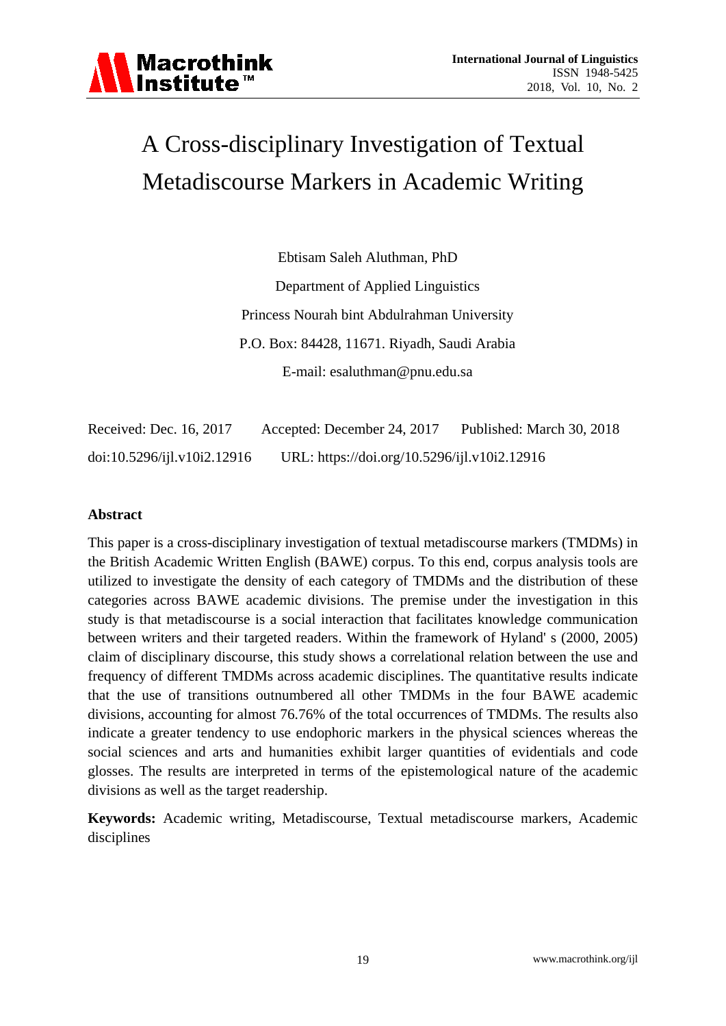

# A Cross-disciplinary Investigation of Textual Metadiscourse Markers in Academic Writing

Ebtisam Saleh Aluthman, PhD Department of Applied Linguistics Princess Nourah bint Abdulrahman University P.O. Box: 84428, 11671. Riyadh, Saudi Arabia E-mail: esaluthman@pnu.edu.sa

Received: Dec. 16, 2017 Accepted: December 24, 2017 Published: March 30, 2018 doi:10.5296/ijl.v10i2.12916 URL: https://doi.org/10.5296/ijl.v10i2.12916

#### **Abstract**

This paper is a cross-disciplinary investigation of textual metadiscourse markers (TMDMs) in the British Academic Written English (BAWE) corpus. To this end, corpus analysis tools are utilized to investigate the density of each category of TMDMs and the distribution of these categories across BAWE academic divisions. The premise under the investigation in this study is that metadiscourse is a social interaction that facilitates knowledge communication between writers and their targeted readers. Within the framework of Hyland' s (2000, 2005) claim of disciplinary discourse, this study shows a correlational relation between the use and frequency of different TMDMs across academic disciplines. The quantitative results indicate that the use of transitions outnumbered all other TMDMs in the four BAWE academic divisions, accounting for almost 76.76% of the total occurrences of TMDMs. The results also indicate a greater tendency to use endophoric markers in the physical sciences whereas the social sciences and arts and humanities exhibit larger quantities of evidentials and code glosses. The results are interpreted in terms of the epistemological nature of the academic divisions as well as the target readership.

**Keywords:** Academic writing, Metadiscourse, Textual metadiscourse markers, Academic disciplines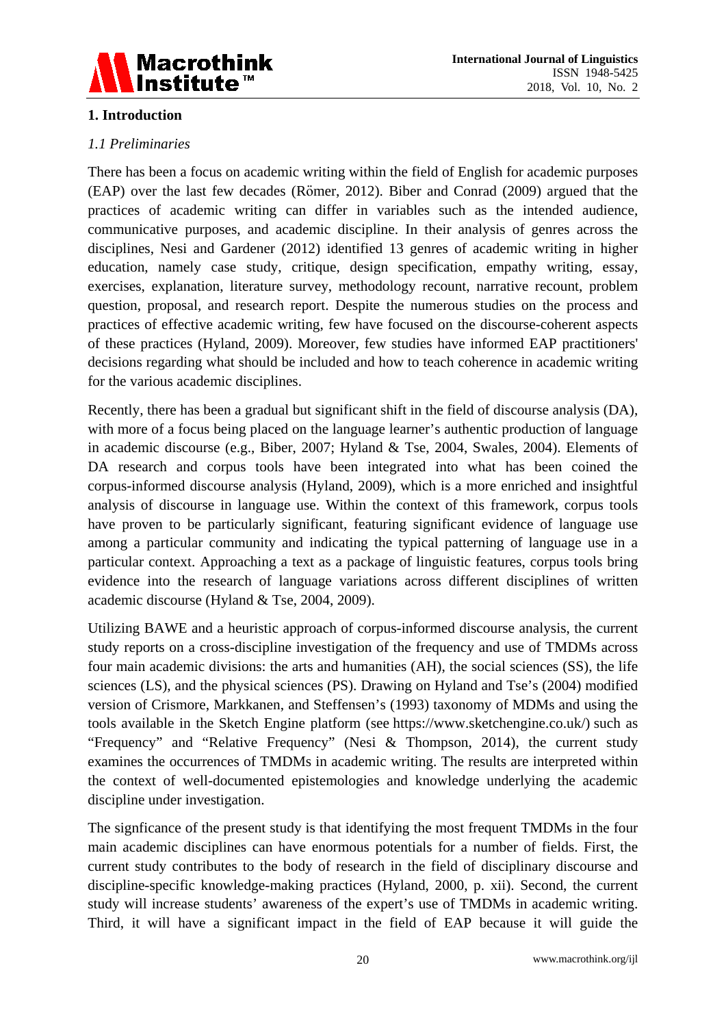

# **1. Introduction**

# *1.1 Preliminaries*

There has been a focus on academic writing within the field of English for academic purposes (EAP) over the last few decades (Römer, 2012). Biber and Conrad (2009) argued that the practices of academic writing can differ in variables such as the intended audience, communicative purposes, and academic discipline. In their analysis of genres across the disciplines, Nesi and Gardener (2012) identified 13 genres of academic writing in higher education, namely case study, critique, design specification, empathy writing, essay, exercises, explanation, literature survey, methodology recount, narrative recount, problem question, proposal, and research report. Despite the numerous studies on the process and practices of effective academic writing, few have focused on the discourse-coherent aspects of these practices (Hyland, 2009). Moreover, few studies have informed EAP practitioners' decisions regarding what should be included and how to teach coherence in academic writing for the various academic disciplines.

Recently, there has been a gradual but significant shift in the field of discourse analysis (DA), with more of a focus being placed on the language learner's authentic production of language in academic discourse (e.g., Biber, 2007; Hyland & Tse, 2004, Swales, 2004). Elements of DA research and corpus tools have been integrated into what has been coined the corpus-informed discourse analysis (Hyland, 2009), which is a more enriched and insightful analysis of discourse in language use. Within the context of this framework, corpus tools have proven to be particularly significant, featuring significant evidence of language use among a particular community and indicating the typical patterning of language use in a particular context. Approaching a text as a package of linguistic features, corpus tools bring evidence into the research of language variations across different disciplines of written academic discourse (Hyland & Tse, 2004, 2009).

Utilizing BAWE and a heuristic approach of corpus-informed discourse analysis, the current study reports on a cross-discipline investigation of the frequency and use of TMDMs across four main academic divisions: the arts and humanities (AH), the social sciences (SS), the life sciences (LS), and the physical sciences (PS). Drawing on Hyland and Tse's (2004) modified version of Crismore, Markkanen, and Steffensen's (1993) taxonomy of MDMs and using the tools available in the Sketch Engine platform (see https://www.sketchengine.co.uk/) such as "Frequency" and "Relative Frequency" (Nesi & Thompson, 2014), the current study examines the occurrences of TMDMs in academic writing. The results are interpreted within the context of well-documented epistemologies and knowledge underlying the academic discipline under investigation.

The signficance of the present study is that identifying the most frequent TMDMs in the four main academic disciplines can have enormous potentials for a number of fields. First, the current study contributes to the body of research in the field of disciplinary discourse and discipline-specific knowledge-making practices (Hyland, 2000, p. xii). Second, the current study will increase students' awareness of the expert's use of TMDMs in academic writing. Third, it will have a significant impact in the field of EAP because it will guide the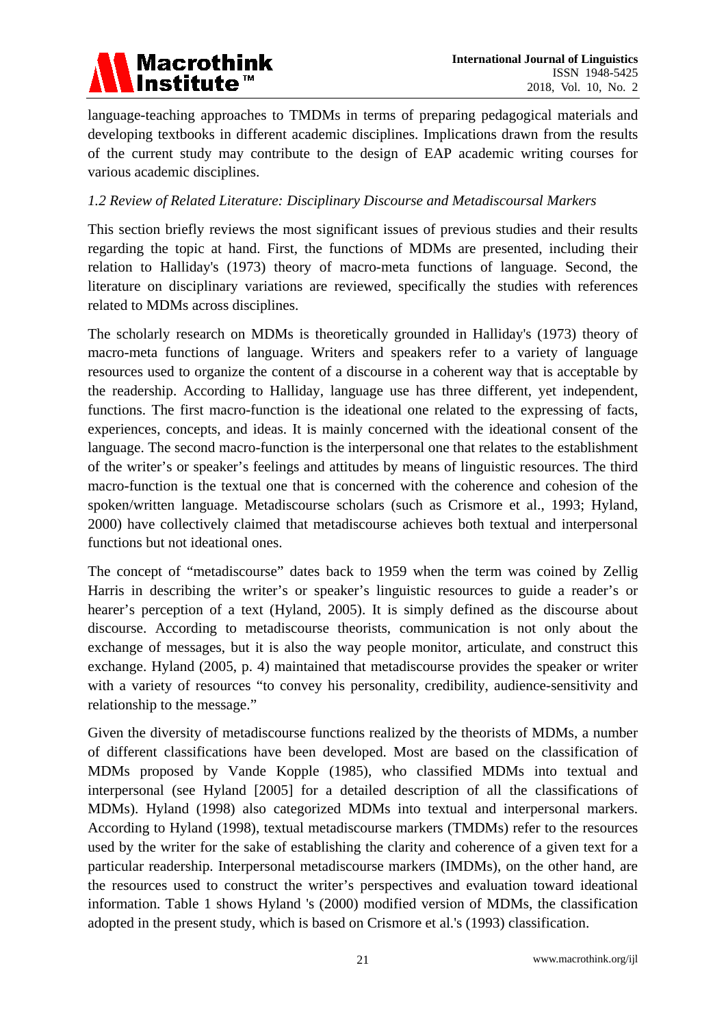

language-teaching approaches to TMDMs in terms of preparing pedagogical materials and developing textbooks in different academic disciplines. Implications drawn from the results of the current study may contribute to the design of EAP academic writing courses for various academic disciplines.

## *1.2 Review of Related Literature: Disciplinary Discourse and Metadiscoursal Markers*

This section briefly reviews the most significant issues of previous studies and their results regarding the topic at hand. First, the functions of MDMs are presented, including their relation to Halliday's (1973) theory of macro-meta functions of language. Second, the literature on disciplinary variations are reviewed, specifically the studies with references related to MDMs across disciplines.

The scholarly research on MDMs is theoretically grounded in Halliday's (1973) theory of macro-meta functions of language. Writers and speakers refer to a variety of language resources used to organize the content of a discourse in a coherent way that is acceptable by the readership. According to Halliday, language use has three different, yet independent, functions. The first macro-function is the ideational one related to the expressing of facts, experiences, concepts, and ideas. It is mainly concerned with the ideational consent of the language. The second macro-function is the interpersonal one that relates to the establishment of the writer's or speaker's feelings and attitudes by means of linguistic resources. The third macro-function is the textual one that is concerned with the coherence and cohesion of the spoken/written language. Metadiscourse scholars (such as Crismore et al., 1993; Hyland, 2000) have collectively claimed that metadiscourse achieves both textual and interpersonal functions but not ideational ones.

The concept of "metadiscourse" dates back to 1959 when the term was coined by Zellig Harris in describing the writer's or speaker's linguistic resources to guide a reader's or hearer's perception of a text (Hyland, 2005). It is simply defined as the discourse about discourse. According to metadiscourse theorists, communication is not only about the exchange of messages, but it is also the way people monitor, articulate, and construct this exchange. Hyland (2005, p. 4) maintained that metadiscourse provides the speaker or writer with a variety of resources "to convey his personality, credibility, audience-sensitivity and relationship to the message."

Given the diversity of metadiscourse functions realized by the theorists of MDMs, a number of different classifications have been developed. Most are based on the classification of MDMs proposed by Vande Kopple (1985), who classified MDMs into textual and interpersonal (see Hyland [2005] for a detailed description of all the classifications of MDMs). Hyland (1998) also categorized MDMs into textual and interpersonal markers. According to Hyland (1998), textual metadiscourse markers (TMDMs) refer to the resources used by the writer for the sake of establishing the clarity and coherence of a given text for a particular readership. Interpersonal metadiscourse markers (IMDMs), on the other hand, are the resources used to construct the writer's perspectives and evaluation toward ideational information. Table 1 shows Hyland 's (2000) modified version of MDMs, the classification adopted in the present study, which is based on Crismore et al.'s (1993) classification.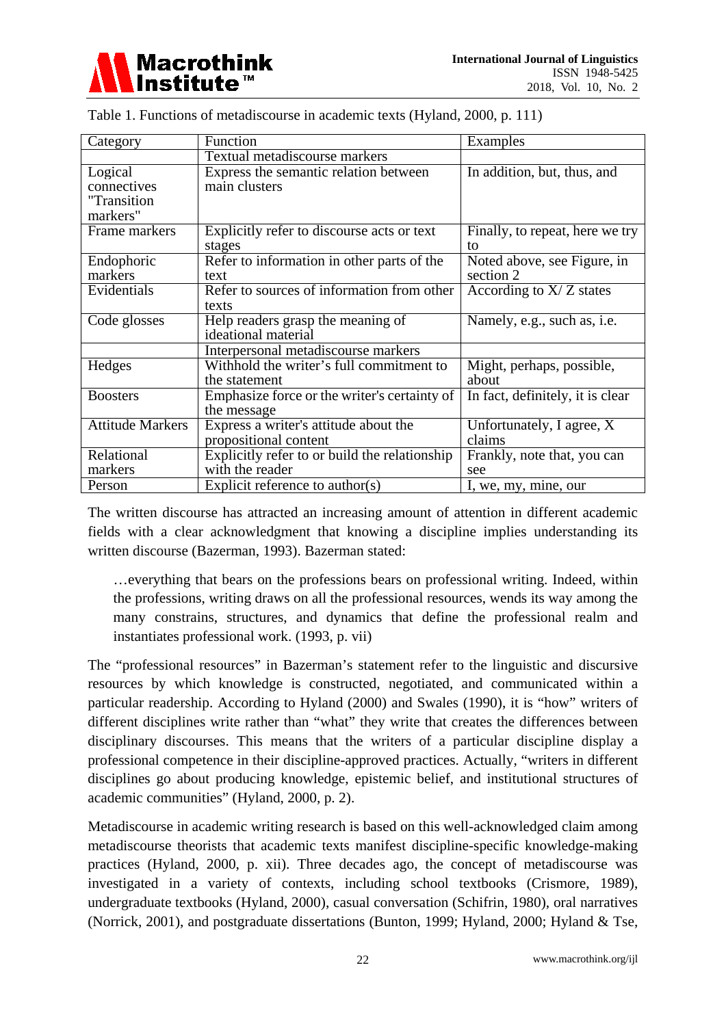

| Category                | Function                                      | Examples                           |
|-------------------------|-----------------------------------------------|------------------------------------|
|                         | Textual metadiscourse markers                 |                                    |
| Logical                 | Express the semantic relation between         | In addition, but, thus, and        |
| connectives             | main clusters                                 |                                    |
| "Transition             |                                               |                                    |
| markers"                |                                               |                                    |
| Frame markers           | Explicitly refer to discourse acts or text    | Finally, to repeat, here we try    |
|                         | stages                                        | to                                 |
| Endophoric              | Refer to information in other parts of the    | Noted above, see Figure, in        |
| markers                 | text                                          | section 2                          |
| Evidentials             | Refer to sources of information from other    | According to $X/Z$ states          |
|                         | texts                                         |                                    |
| Code glosses            | Help readers grasp the meaning of             | Namely, e.g., such as, <i>i.e.</i> |
|                         | ideational material                           |                                    |
|                         | Interpersonal metadiscourse markers           |                                    |
| Hedges                  | Withhold the writer's full commitment to      | Might, perhaps, possible,          |
|                         | the statement                                 | about                              |
| <b>Boosters</b>         | Emphasize force or the writer's certainty of  | In fact, definitely, it is clear   |
|                         | the message                                   |                                    |
| <b>Attitude Markers</b> | Express a writer's attitude about the         | Unfortunately, I agree, X          |
|                         | propositional content                         | claims                             |
| Relational              | Explicitly refer to or build the relationship | Frankly, note that, you can        |
| markers                 | with the reader                               | see                                |
| Person                  | Explicit reference to author(s)               | I, we, my, mine, our               |

Table 1. Functions of metadiscourse in academic texts (Hyland, 2000, p. 111)

The written discourse has attracted an increasing amount of attention in different academic fields with a clear acknowledgment that knowing a discipline implies understanding its written discourse (Bazerman, 1993). Bazerman stated:

…everything that bears on the professions bears on professional writing. Indeed, within the professions, writing draws on all the professional resources, wends its way among the many constrains, structures, and dynamics that define the professional realm and instantiates professional work. (1993, p. vii)

The "professional resources" in Bazerman's statement refer to the linguistic and discursive resources by which knowledge is constructed, negotiated, and communicated within a particular readership. According to Hyland (2000) and Swales (1990), it is "how" writers of different disciplines write rather than "what" they write that creates the differences between disciplinary discourses. This means that the writers of a particular discipline display a professional competence in their discipline-approved practices. Actually, "writers in different disciplines go about producing knowledge, epistemic belief, and institutional structures of academic communities" (Hyland, 2000, p. 2).

Metadiscourse in academic writing research is based on this well-acknowledged claim among metadiscourse theorists that academic texts manifest discipline-specific knowledge-making practices (Hyland, 2000, p. xii). Three decades ago, the concept of metadiscourse was investigated in a variety of contexts, including school textbooks (Crismore, 1989), undergraduate textbooks (Hyland, 2000), casual conversation (Schifrin, 1980), oral narratives (Norrick, 2001), and postgraduate dissertations (Bunton, 1999; Hyland, 2000; Hyland & Tse,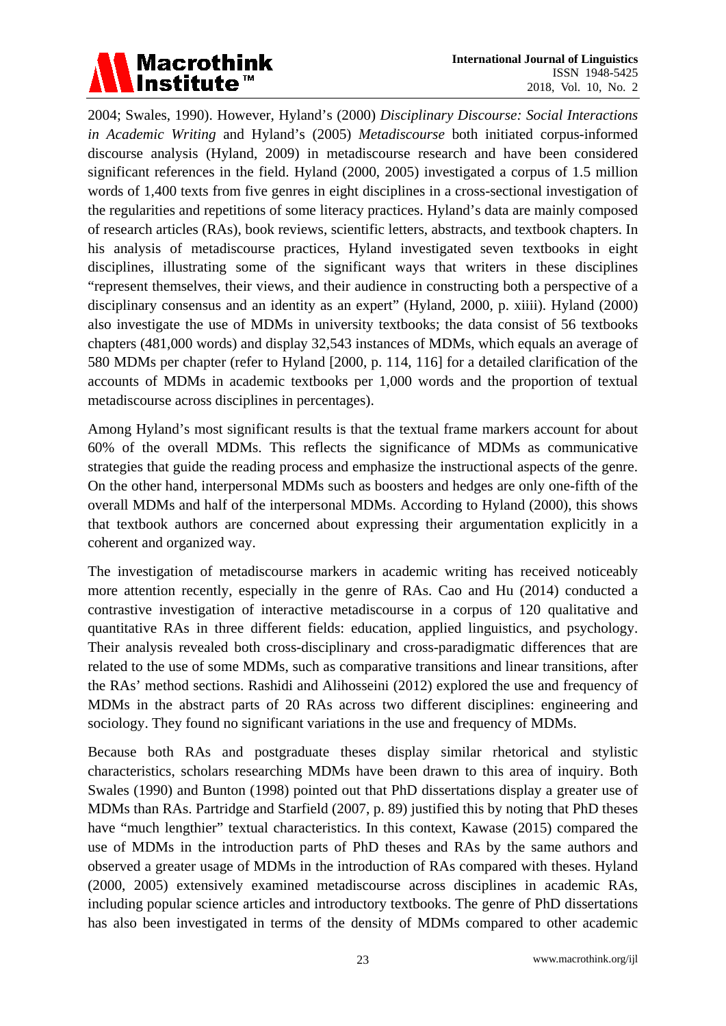

2004; Swales, 1990). However, Hyland's (2000) *Disciplinary Discourse: Social Interactions in Academic Writing* and Hyland's (2005) *Metadiscourse* both initiated corpus-informed discourse analysis (Hyland, 2009) in metadiscourse research and have been considered significant references in the field. Hyland (2000, 2005) investigated a corpus of 1.5 million words of 1,400 texts from five genres in eight disciplines in a cross-sectional investigation of the regularities and repetitions of some literacy practices. Hyland's data are mainly composed of research articles (RAs), book reviews, scientific letters, abstracts, and textbook chapters. In his analysis of metadiscourse practices, Hyland investigated seven textbooks in eight disciplines, illustrating some of the significant ways that writers in these disciplines "represent themselves, their views, and their audience in constructing both a perspective of a disciplinary consensus and an identity as an expert" (Hyland, 2000, p. xiiii). Hyland (2000) also investigate the use of MDMs in university textbooks; the data consist of 56 textbooks chapters (481,000 words) and display 32,543 instances of MDMs, which equals an average of 580 MDMs per chapter (refer to Hyland [2000, p. 114, 116] for a detailed clarification of the accounts of MDMs in academic textbooks per 1,000 words and the proportion of textual metadiscourse across disciplines in percentages).

Among Hyland's most significant results is that the textual frame markers account for about 60% of the overall MDMs. This reflects the significance of MDMs as communicative strategies that guide the reading process and emphasize the instructional aspects of the genre. On the other hand, interpersonal MDMs such as boosters and hedges are only one-fifth of the overall MDMs and half of the interpersonal MDMs. According to Hyland (2000), this shows that textbook authors are concerned about expressing their argumentation explicitly in a coherent and organized way.

The investigation of metadiscourse markers in academic writing has received noticeably more attention recently, especially in the genre of RAs. Cao and Hu (2014) conducted a contrastive investigation of interactive metadiscourse in a corpus of 120 qualitative and quantitative RAs in three different fields: education, applied linguistics, and psychology. Their analysis revealed both cross-disciplinary and cross-paradigmatic differences that are related to the use of some MDMs, such as comparative transitions and linear transitions, after the RAs' method sections. Rashidi and Alihosseini (2012) explored the use and frequency of MDMs in the abstract parts of 20 RAs across two different disciplines: engineering and sociology. They found no significant variations in the use and frequency of MDMs.

Because both RAs and postgraduate theses display similar rhetorical and stylistic characteristics, scholars researching MDMs have been drawn to this area of inquiry. Both Swales (1990) and Bunton (1998) pointed out that PhD dissertations display a greater use of MDMs than RAs. Partridge and Starfield (2007, p. 89) justified this by noting that PhD theses have "much lengthier" textual characteristics. In this context, Kawase (2015) compared the use of MDMs in the introduction parts of PhD theses and RAs by the same authors and observed a greater usage of MDMs in the introduction of RAs compared with theses. Hyland (2000, 2005) extensively examined metadiscourse across disciplines in academic RAs, including popular science articles and introductory textbooks. The genre of PhD dissertations has also been investigated in terms of the density of MDMs compared to other academic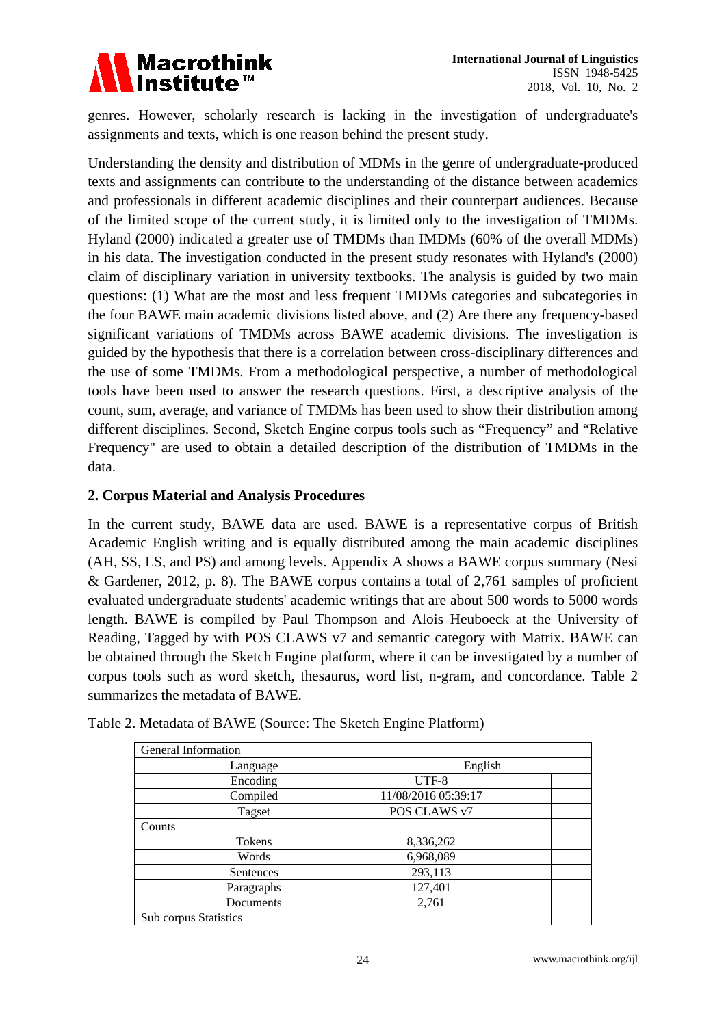

genres. However, scholarly research is lacking in the investigation of undergraduate's assignments and texts, which is one reason behind the present study.

Understanding the density and distribution of MDMs in the genre of undergraduate-produced texts and assignments can contribute to the understanding of the distance between academics and professionals in different academic disciplines and their counterpart audiences. Because of the limited scope of the current study, it is limited only to the investigation of TMDMs. Hyland (2000) indicated a greater use of TMDMs than IMDMs (60% of the overall MDMs) in his data. The investigation conducted in the present study resonates with Hyland's (2000) claim of disciplinary variation in university textbooks. The analysis is guided by two main questions: (1) What are the most and less frequent TMDMs categories and subcategories in the four BAWE main academic divisions listed above, and (2) Are there any frequency-based significant variations of TMDMs across BAWE academic divisions. The investigation is guided by the hypothesis that there is a correlation between cross-disciplinary differences and the use of some TMDMs. From a methodological perspective, a number of methodological tools have been used to answer the research questions. First, a descriptive analysis of the count, sum, average, and variance of TMDMs has been used to show their distribution among different disciplines. Second, Sketch Engine corpus tools such as "Frequency" and "Relative Frequency" are used to obtain a detailed description of the distribution of TMDMs in the data.

# **2. Corpus Material and Analysis Procedures**

In the current study, BAWE data are used. BAWE is a representative corpus of British Academic English writing and is equally distributed among the main academic disciplines (AH, SS, LS, and PS) and among levels. Appendix A shows a BAWE corpus summary (Nesi & Gardener, 2012, p. 8). The BAWE corpus contains a total of 2,761 samples of proficient evaluated undergraduate students' academic writings that are about 500 words to 5000 words length. BAWE is compiled by Paul Thompson and Alois Heuboeck at the University of Reading, Tagged by with POS CLAWS v7 and semantic category with Matrix. BAWE can be obtained through the Sketch Engine platform, where it can be investigated by a number of corpus tools such as word sketch, thesaurus, word list, n-gram, and concordance. Table 2 summarizes the metadata of BAWE.

| General Information   |                     |  |  |
|-----------------------|---------------------|--|--|
| Language              | English             |  |  |
| Encoding              | UTF-8               |  |  |
| Compiled              | 11/08/2016 05:39:17 |  |  |
| Tagset                | POS CLAWS v7        |  |  |
| Counts                |                     |  |  |
| Tokens                | 8,336,262           |  |  |
| Words                 | 6,968,089           |  |  |
| Sentences             | 293,113             |  |  |
| Paragraphs            | 127,401             |  |  |
| Documents             | 2,761               |  |  |
| Sub corpus Statistics |                     |  |  |

Table 2. Metadata of BAWE (Source: The Sketch Engine Platform)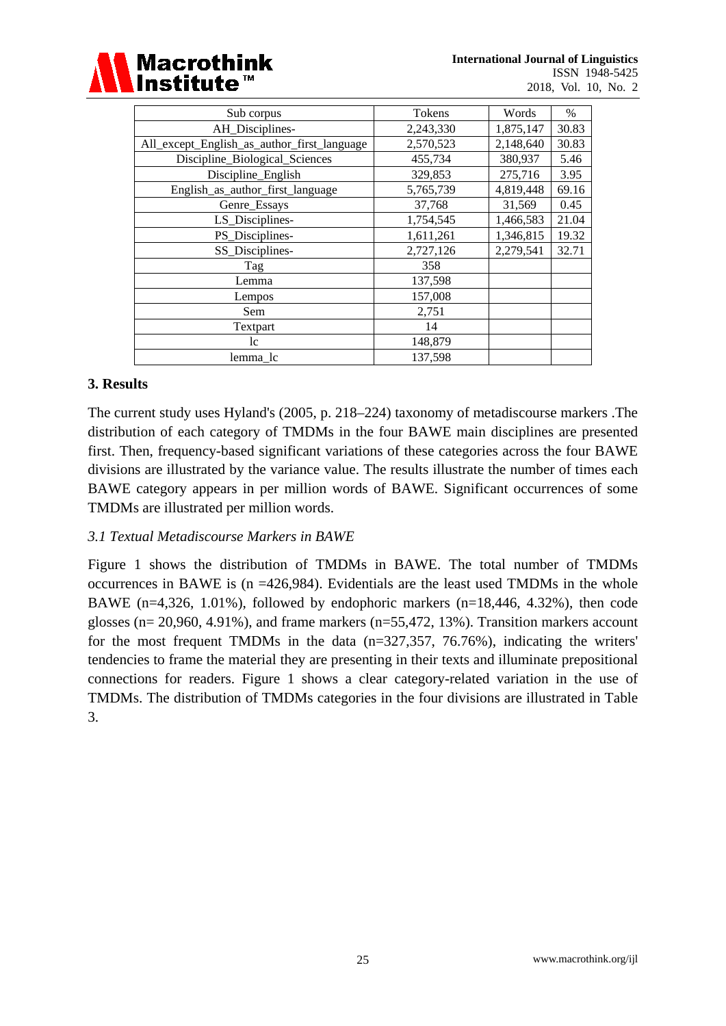

| Sub corpus                                  | Tokens    | Words     | $\%$  |
|---------------------------------------------|-----------|-----------|-------|
| AH_Disciplines-                             | 2,243,330 | 1,875,147 | 30.83 |
| All_except_English_as_author_first_language | 2,570,523 | 2,148,640 | 30.83 |
| Discipline_Biological_Sciences              | 455,734   | 380,937   | 5.46  |
| Discipline_English                          | 329,853   | 275,716   | 3.95  |
| English_as_author_first_language            | 5,765,739 | 4,819,448 | 69.16 |
| Genre_Essays                                | 37,768    | 31,569    | 0.45  |
| LS_Disciplines-                             | 1,754,545 | 1,466,583 | 21.04 |
| PS_Disciplines-                             | 1,611,261 | 1,346,815 | 19.32 |
| SS_Disciplines-                             | 2,727,126 | 2,279,541 | 32.71 |
| Tag                                         | 358       |           |       |
| Lemma                                       | 137,598   |           |       |
| Lempos                                      | 157,008   |           |       |
| Sem                                         | 2,751     |           |       |
| Textpart                                    | 14        |           |       |
| lc                                          | 148,879   |           |       |
| lemma lc                                    | 137,598   |           |       |

#### **3. Results**

The current study uses Hyland's (2005, p. 218–224) taxonomy of metadiscourse markers .The distribution of each category of TMDMs in the four BAWE main disciplines are presented first. Then, frequency-based significant variations of these categories across the four BAWE divisions are illustrated by the variance value. The results illustrate the number of times each BAWE category appears in per million words of BAWE. Significant occurrences of some TMDMs are illustrated per million words.

# *3.1 Textual Metadiscourse Markers in BAWE*

Figure 1 shows the distribution of TMDMs in BAWE. The total number of TMDMs occurrences in BAWE is (n =426,984). Evidentials are the least used TMDMs in the whole BAWE (n=4,326, 1.01%), followed by endophoric markers (n=18,446, 4.32%), then code glosses ( $n= 20,960, 4.91\%$ ), and frame markers ( $n=55,472, 13\%$ ). Transition markers account for the most frequent TMDMs in the data (n=327,357, 76.76%), indicating the writers' tendencies to frame the material they are presenting in their texts and illuminate prepositional connections for readers. Figure 1 shows a clear category-related variation in the use of TMDMs. The distribution of TMDMs categories in the four divisions are illustrated in Table 3.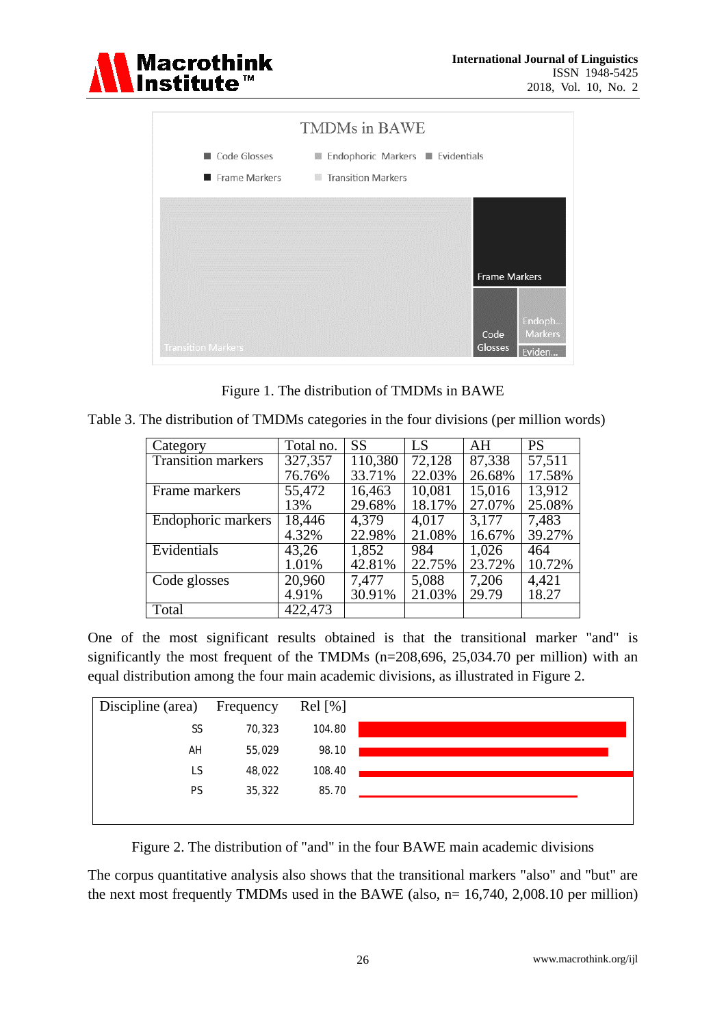



Figure 1. The distribution of TMDMs in BAWE

|  | Table 3. The distribution of TMDMs categories in the four divisions (per million words) |  |  |  |  |
|--|-----------------------------------------------------------------------------------------|--|--|--|--|
|  |                                                                                         |  |  |  |  |

| Category                  | Total no. | <b>SS</b> | LS     | AH     | <b>PS</b> |
|---------------------------|-----------|-----------|--------|--------|-----------|
| <b>Transition markers</b> | 327,357   | 110,380   | 72,128 | 87,338 | 57,511    |
|                           | 76.76%    | 33.71%    | 22.03% | 26.68% | 17.58%    |
| Frame markers             | 55,472    | 16,463    | 10,081 | 15,016 | 13,912    |
|                           | 13%       | 29.68%    | 18.17% | 27.07% | 25.08%    |
| Endophoric markers        | 18,446    | 4,379     | 4,017  | 3,177  | 7,483     |
|                           | 4.32%     | 22.98%    | 21.08% | 16.67% | 39.27%    |
| Evidentials               | 43,26     | 1,852     | 984    | 1,026  | 464       |
|                           | 1.01%     | 42.81%    | 22.75% | 23.72% | 10.72%    |
| Code glosses              | 20,960    | 7,477     | 5,088  | 7,206  | 4,421     |
|                           | 4.91%     | 30.91%    | 21.03% | 29.79  | 18.27     |
| Total                     | 422,473   |           |        |        |           |

One of the most significant results obtained is that the transitional marker "and" is significantly the most frequent of the TMDMs (n=208,696, 25,034.70 per million) with an equal distribution among the four main academic divisions, as illustrated in Figure 2.



Figure 2. The distribution of "and" in the four BAWE main academic divisions

The corpus quantitative analysis also shows that the transitional markers "also" and "but" are the next most frequently TMDMs used in the BAWE (also,  $n=16,740, 2,008.10$  per million)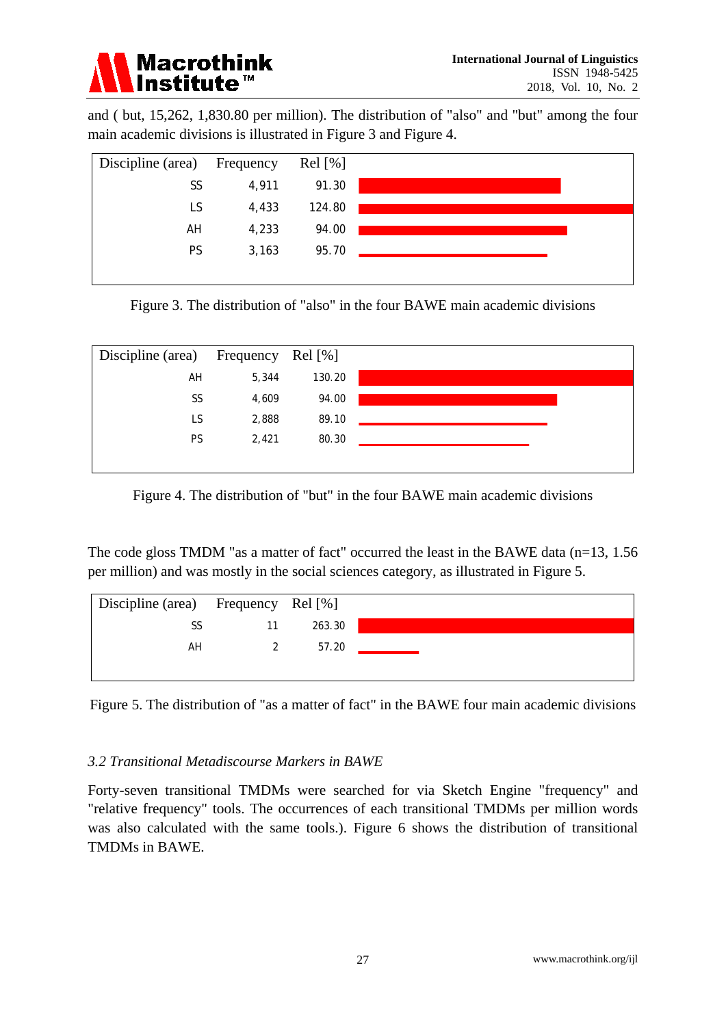

and ( but, 15,262, 1,830.80 per million). The distribution of "also" and "but" among the four main academic divisions is illustrated in Figure 3 and Figure 4.



Figure 3. The distribution of "also" in the four BAWE main academic divisions



Figure 4. The distribution of "but" in the four BAWE main academic divisions

The code gloss TMDM "as a matter of fact" occurred the least in the BAWE data (n=13, 1.56 per million) and was mostly in the social sciences category, as illustrated in Figure 5.



Figure 5. The distribution of "as a matter of fact" in the BAWE four main academic divisions

# *3.2 Transitional Metadiscourse Markers in BAWE*

Forty-seven transitional TMDMs were searched for via Sketch Engine "frequency" and "relative frequency" tools. The occurrences of each transitional TMDMs per million words was also calculated with the same tools.). Figure 6 shows the distribution of transitional TMDMs in BAWE.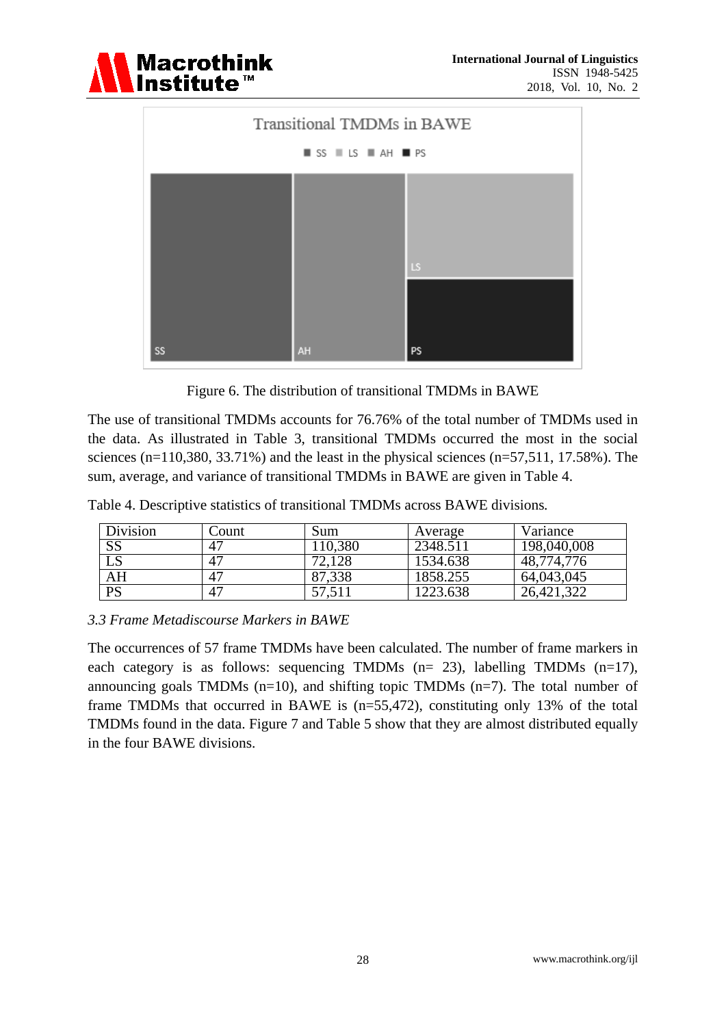



Figure 6. The distribution of transitional TMDMs in BAWE

The use of transitional TMDMs accounts for 76.76% of the total number of TMDMs used in the data. As illustrated in Table 3, transitional TMDMs occurred the most in the social sciences (n=110,380, 33.71%) and the least in the physical sciences (n=57,511, 17.58%). The sum, average, and variance of transitional TMDMs in BAWE are given in Table 4.

Table 4. Descriptive statistics of transitional TMDMs across BAWE divisions*.*

| Division | .`ount      | Sum             | Average  | Variance      |
|----------|-------------|-----------------|----------|---------------|
| SS       | 47          | 10,380          | 2348.511 | 198,040,008   |
| LS       | $4^{\circ}$ | 72,128          | 1534.638 | 48,774,776    |
| AH       | $4^{\circ}$ | 87,338          | 1858.255 | 64,043,045    |
| PS       | $4^{\circ}$ | $^{\prime}.511$ | 1223.638 | 322<br>26,421 |

# *3.3 Frame Metadiscourse Markers in BAWE*

The occurrences of 57 frame TMDMs have been calculated. The number of frame markers in each category is as follows: sequencing TMDMs (n= 23), labelling TMDMs (n=17), announcing goals TMDMs  $(n=10)$ , and shifting topic TMDMs  $(n=7)$ . The total number of frame TMDMs that occurred in BAWE is (n=55,472), constituting only 13% of the total TMDMs found in the data. Figure 7 and Table 5 show that they are almost distributed equally in the four BAWE divisions.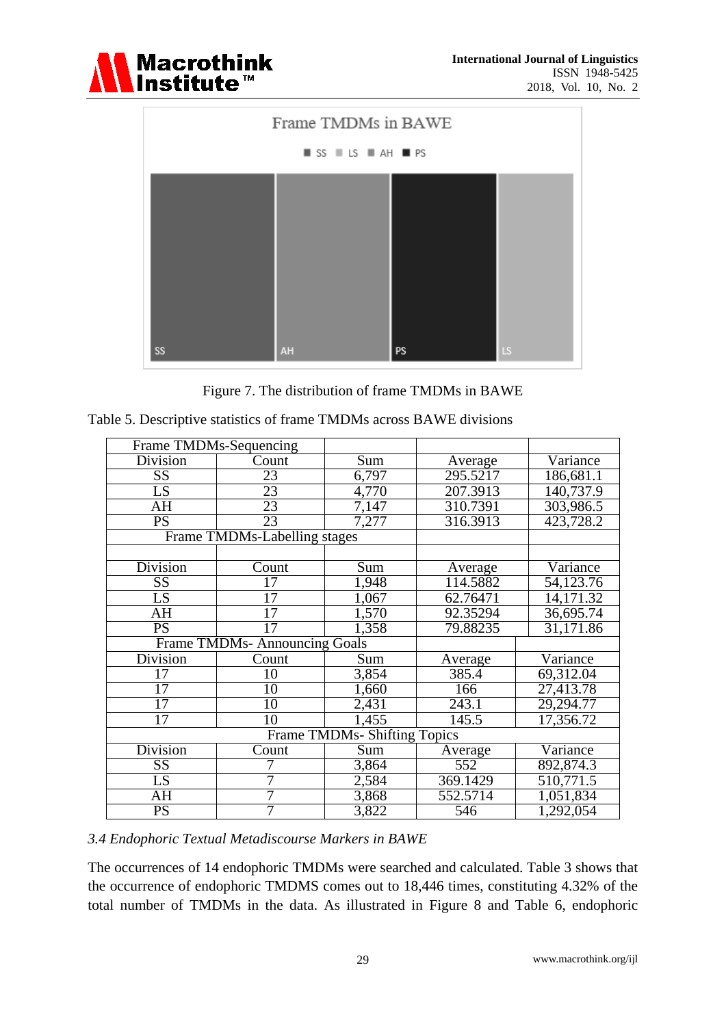



Figure 7. The distribution of frame TMDMs in BAWE

|                        | Frame TMDMs-Sequencing              |                                     |          |                         |
|------------------------|-------------------------------------|-------------------------------------|----------|-------------------------|
| Division               | Count                               | Sum                                 | Average  | Variance                |
| $\overline{\text{SS}}$ | 23                                  | 6,797                               | 295.5217 | 186,681.1               |
| LS                     | 23                                  | 4,770                               | 207.3913 | 140,737.9               |
| $\overline{AH}$        | 23                                  | $\sqrt{7,147}$                      | 310.7391 | 303,986.5               |
| $\overline{PS}$        | $\overline{23}$                     | 7,277                               | 316.3913 | 423,728.2               |
|                        | Frame TMDMs-Labelling stages        |                                     |          |                         |
|                        |                                     |                                     |          |                         |
| <b>Division</b>        | Count                               | Sum                                 | Average  | Variance                |
| SS                     | 17                                  | 1,948                               | 114.5882 | 54,123.76               |
| LS                     | 17                                  | 1,067                               | 62.76471 | 14,171.32               |
| AH                     | 17                                  | 1,570                               | 92.35294 | 36,695.74               |
| <b>PS</b>              | 17                                  | 1,358                               | 79.88235 | $\overline{31}, 171.86$ |
|                        | <b>Frame TMDMs-Announcing Goals</b> |                                     |          |                         |
| Division               | Count                               | Sum                                 | Average  | Variance                |
| $\overline{17}$        | 10                                  | 3,854                               | 385.4    | 69,312.04               |
| 17                     | 10                                  | 1,660                               | 166      | 27,413.78               |
| 17                     | 10                                  | 2,431                               | 243.1    | 29,294.77               |
| 17                     | 10                                  | 1,455                               | 145.5    | 17,356.72               |
|                        |                                     | <b>Frame TMDMs- Shifting Topics</b> |          |                         |
| <b>Division</b>        | Count                               | Sum                                 | Average  | Variance                |
| SS                     |                                     | 3,864                               | 552      | 892,874.3               |
| LS                     |                                     | 2,584                               | 369.1429 | 510,771.5               |
| AH                     | 7                                   | 3,868                               | 552.5714 | 1,051,834               |
| $\overline{PS}$        |                                     | 3,822                               | 546      | 1,292,054               |

#### *3.4 Endophoric Textual Metadiscourse Markers in BAWE*

The occurrences of 14 endophoric TMDMs were searched and calculated. Table 3 shows that the occurrence of endophoric TMDMS comes out to 18,446 times, constituting 4.32% of the total number of TMDMs in the data. As illustrated in Figure 8 and Table 6, endophoric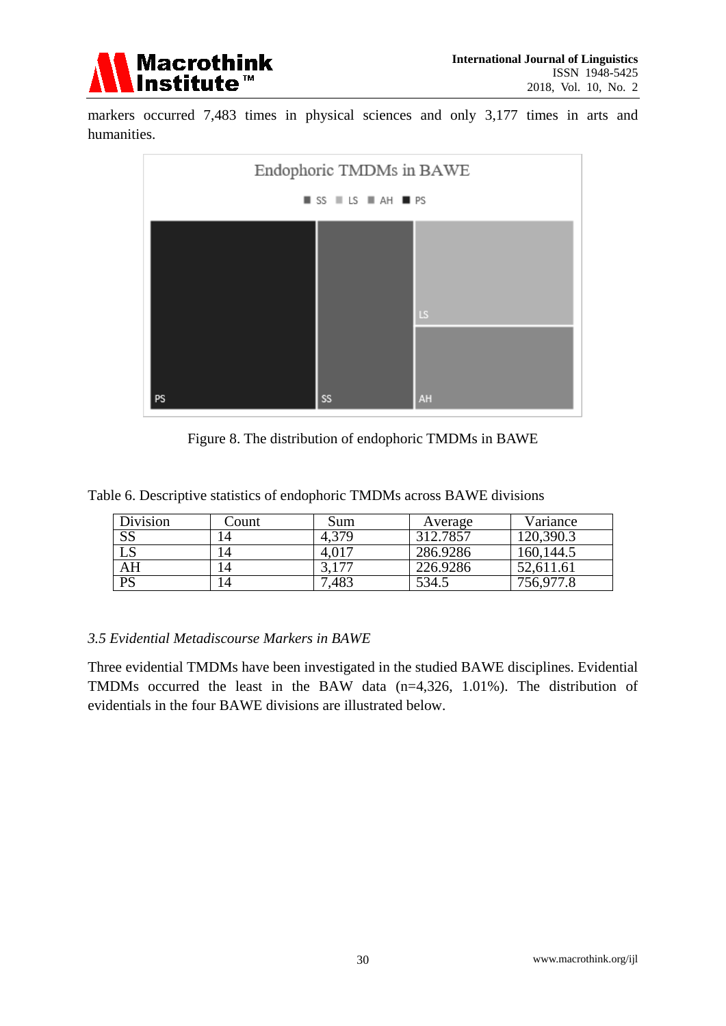

markers occurred 7,483 times in physical sciences and only 3,177 times in arts and humanities.



Figure 8. The distribution of endophoric TMDMs in BAWE

Table 6. Descriptive statistics of endophoric TMDMs across BAWE divisions

| Division               | .`ount | Sum   | Average  | Variance  |
|------------------------|--------|-------|----------|-----------|
| SS                     | 14     | 4,379 | 312.7857 | 20,390.3  |
| $\overline{\text{LS}}$ | 14     |       | 286.9286 | 160,144.5 |
| AH                     | 14     | ,177  | 226.9286 | 52,611.61 |
| PS                     | 14     | 483   | 534.5    | 756,977.8 |

# *3.5 Evidential Metadiscourse Markers in BAWE*

Three evidential TMDMs have been investigated in the studied BAWE disciplines. Evidential TMDMs occurred the least in the BAW data (n=4,326, 1.01%). The distribution of evidentials in the four BAWE divisions are illustrated below.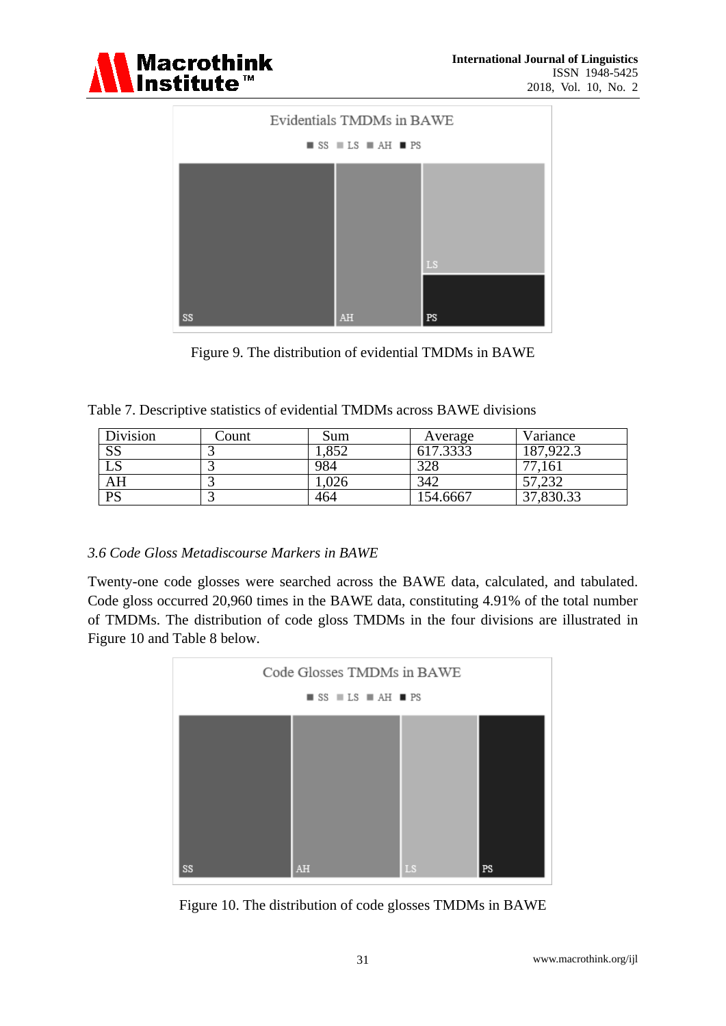



Figure 9. The distribution of evidential TMDMs in BAWE

|  |  | Table 7. Descriptive statistics of evidential TMDMs across BAWE divisions |  |
|--|--|---------------------------------------------------------------------------|--|
|  |  |                                                                           |  |

| Division               | Count | Sum  | Average  | Variance   |
|------------------------|-------|------|----------|------------|
| $\overline{\text{SS}}$ |       | ,852 | 617.3333 | 187,922.3  |
| LS                     |       | 984  | 328      | 77<br>161  |
| $\overline{\rm AH}$    |       | .026 | 342      | .232<br>-- |
| <b>PS</b>              |       | 464  | 154.6667 | 37,830.33  |

# *3.6 Code Gloss Metadiscourse Markers in BAWE*

Twenty-one code glosses were searched across the BAWE data, calculated, and tabulated. Code gloss occurred 20,960 times in the BAWE data, constituting 4.91% of the total number of TMDMs. The distribution of code gloss TMDMs in the four divisions are illustrated in Figure 10 and Table 8 below.



Figure 10. The distribution of code glosses TMDMs in BAWE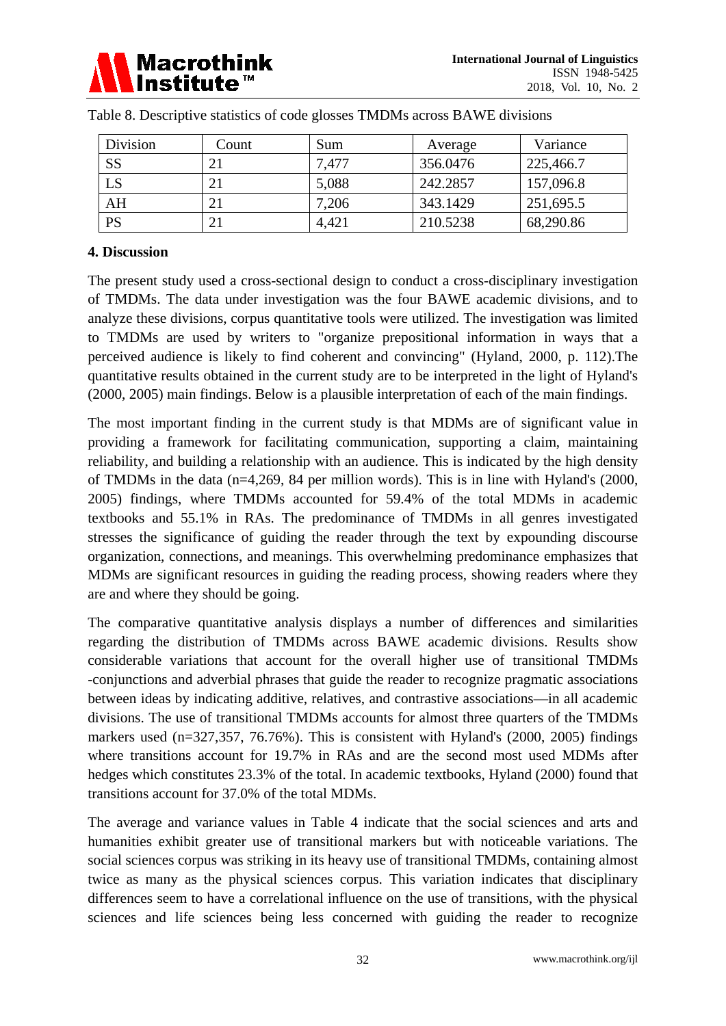

| Division  | Count | Sum   | Average  | Variance  |
|-----------|-------|-------|----------|-----------|
| <b>SS</b> | 21    | 7,477 | 356.0476 | 225,466.7 |
| LS        | 21    | 5,088 | 242.2857 | 157,096.8 |
| AH        | 21    | 7,206 | 343.1429 | 251,695.5 |
| PS        | 21    | 4,421 | 210.5238 | 68,290.86 |

|  |  |  |  | Table 8. Descriptive statistics of code glosses TMDMs across BAWE divisions |
|--|--|--|--|-----------------------------------------------------------------------------|
|  |  |  |  |                                                                             |

#### **4. Discussion**

The present study used a cross-sectional design to conduct a cross-disciplinary investigation of TMDMs. The data under investigation was the four BAWE academic divisions, and to analyze these divisions, corpus quantitative tools were utilized. The investigation was limited to TMDMs are used by writers to "organize prepositional information in ways that a perceived audience is likely to find coherent and convincing" (Hyland, 2000, p. 112).The quantitative results obtained in the current study are to be interpreted in the light of Hyland's (2000, 2005) main findings. Below is a plausible interpretation of each of the main findings.

The most important finding in the current study is that MDMs are of significant value in providing a framework for facilitating communication, supporting a claim, maintaining reliability, and building a relationship with an audience. This is indicated by the high density of TMDMs in the data (n=4,269, 84 per million words). This is in line with Hyland's (2000, 2005) findings, where TMDMs accounted for 59.4% of the total MDMs in academic textbooks and 55.1% in RAs. The predominance of TMDMs in all genres investigated stresses the significance of guiding the reader through the text by expounding discourse organization, connections, and meanings. This overwhelming predominance emphasizes that MDMs are significant resources in guiding the reading process, showing readers where they are and where they should be going.

The comparative quantitative analysis displays a number of differences and similarities regarding the distribution of TMDMs across BAWE academic divisions. Results show considerable variations that account for the overall higher use of transitional TMDMs -conjunctions and adverbial phrases that guide the reader to recognize pragmatic associations between ideas by indicating additive, relatives, and contrastive associations—in all academic divisions. The use of transitional TMDMs accounts for almost three quarters of the TMDMs markers used (n=327,357, 76.76%). This is consistent with Hyland's (2000, 2005) findings where transitions account for 19.7% in RAs and are the second most used MDMs after hedges which constitutes 23.3% of the total. In academic textbooks, Hyland (2000) found that transitions account for 37.0% of the total MDMs.

The average and variance values in Table 4 indicate that the social sciences and arts and humanities exhibit greater use of transitional markers but with noticeable variations. The social sciences corpus was striking in its heavy use of transitional TMDMs, containing almost twice as many as the physical sciences corpus. This variation indicates that disciplinary differences seem to have a correlational influence on the use of transitions, with the physical sciences and life sciences being less concerned with guiding the reader to recognize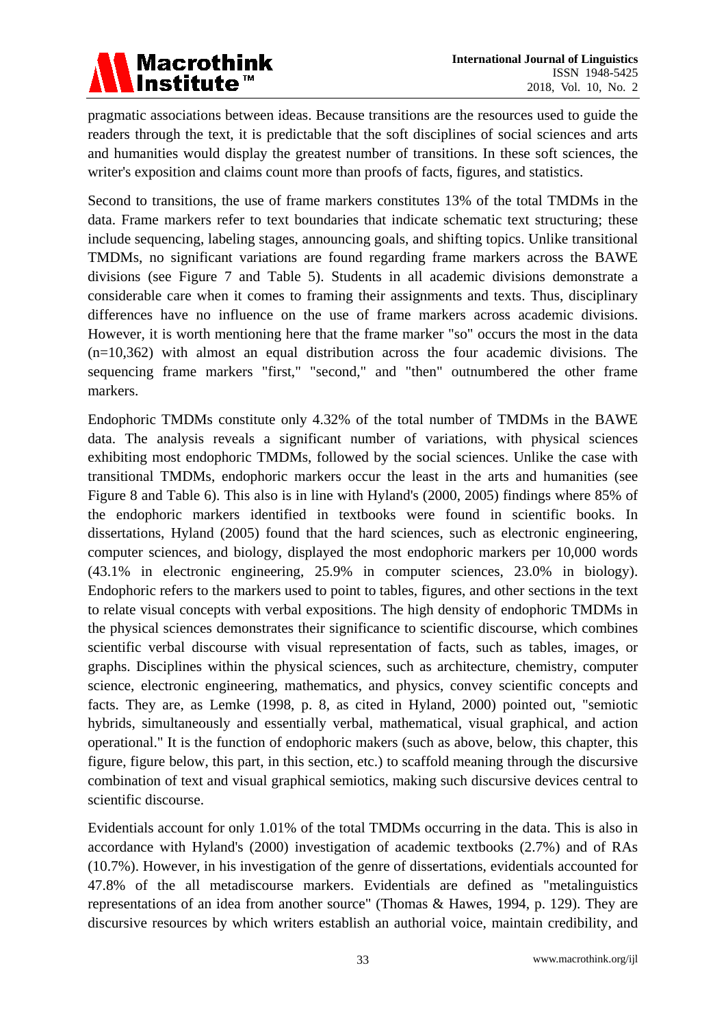

pragmatic associations between ideas. Because transitions are the resources used to guide the readers through the text, it is predictable that the soft disciplines of social sciences and arts and humanities would display the greatest number of transitions. In these soft sciences, the writer's exposition and claims count more than proofs of facts, figures, and statistics.

Second to transitions, the use of frame markers constitutes 13% of the total TMDMs in the data. Frame markers refer to text boundaries that indicate schematic text structuring; these include sequencing, labeling stages, announcing goals, and shifting topics. Unlike transitional TMDMs, no significant variations are found regarding frame markers across the BAWE divisions (see Figure 7 and Table 5). Students in all academic divisions demonstrate a considerable care when it comes to framing their assignments and texts. Thus, disciplinary differences have no influence on the use of frame markers across academic divisions. However, it is worth mentioning here that the frame marker "so" occurs the most in the data (n=10,362) with almost an equal distribution across the four academic divisions. The sequencing frame markers "first," "second," and "then" outnumbered the other frame markers.

Endophoric TMDMs constitute only 4.32% of the total number of TMDMs in the BAWE data. The analysis reveals a significant number of variations, with physical sciences exhibiting most endophoric TMDMs, followed by the social sciences. Unlike the case with transitional TMDMs, endophoric markers occur the least in the arts and humanities (see Figure 8 and Table 6). This also is in line with Hyland's (2000, 2005) findings where 85% of the endophoric markers identified in textbooks were found in scientific books. In dissertations, Hyland (2005) found that the hard sciences, such as electronic engineering, computer sciences, and biology, displayed the most endophoric markers per 10,000 words (43.1% in electronic engineering, 25.9% in computer sciences, 23.0% in biology). Endophoric refers to the markers used to point to tables, figures, and other sections in the text to relate visual concepts with verbal expositions. The high density of endophoric TMDMs in the physical sciences demonstrates their significance to scientific discourse, which combines scientific verbal discourse with visual representation of facts, such as tables, images, or graphs. Disciplines within the physical sciences, such as architecture, chemistry, computer science, electronic engineering, mathematics, and physics, convey scientific concepts and facts. They are, as Lemke (1998, p. 8, as cited in Hyland, 2000) pointed out, "semiotic hybrids, simultaneously and essentially verbal, mathematical, visual graphical, and action operational." It is the function of endophoric makers (such as above, below, this chapter, this figure, figure below, this part, in this section, etc.) to scaffold meaning through the discursive combination of text and visual graphical semiotics, making such discursive devices central to scientific discourse.

Evidentials account for only 1.01% of the total TMDMs occurring in the data. This is also in accordance with Hyland's (2000) investigation of academic textbooks (2.7%) and of RAs (10.7%). However, in his investigation of the genre of dissertations, evidentials accounted for 47.8% of the all metadiscourse markers. Evidentials are defined as "metalinguistics representations of an idea from another source" (Thomas & Hawes, 1994, p. 129). They are discursive resources by which writers establish an authorial voice, maintain credibility, and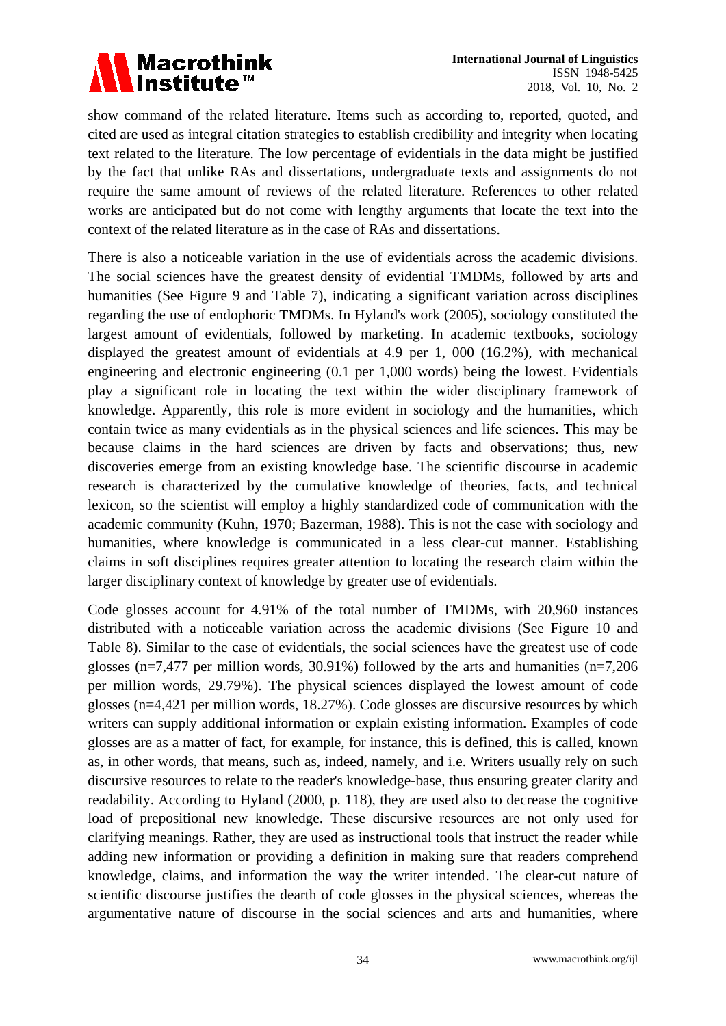

show command of the related literature. Items such as according to, reported, quoted, and cited are used as integral citation strategies to establish credibility and integrity when locating text related to the literature. The low percentage of evidentials in the data might be justified by the fact that unlike RAs and dissertations, undergraduate texts and assignments do not require the same amount of reviews of the related literature. References to other related works are anticipated but do not come with lengthy arguments that locate the text into the context of the related literature as in the case of RAs and dissertations.

There is also a noticeable variation in the use of evidentials across the academic divisions. The social sciences have the greatest density of evidential TMDMs, followed by arts and humanities (See Figure 9 and Table 7), indicating a significant variation across disciplines regarding the use of endophoric TMDMs. In Hyland's work (2005), sociology constituted the largest amount of evidentials, followed by marketing. In academic textbooks, sociology displayed the greatest amount of evidentials at 4.9 per 1, 000 (16.2%), with mechanical engineering and electronic engineering (0.1 per 1,000 words) being the lowest. Evidentials play a significant role in locating the text within the wider disciplinary framework of knowledge. Apparently, this role is more evident in sociology and the humanities, which contain twice as many evidentials as in the physical sciences and life sciences. This may be because claims in the hard sciences are driven by facts and observations; thus, new discoveries emerge from an existing knowledge base. The scientific discourse in academic research is characterized by the cumulative knowledge of theories, facts, and technical lexicon, so the scientist will employ a highly standardized code of communication with the academic community (Kuhn, 1970; Bazerman, 1988). This is not the case with sociology and humanities, where knowledge is communicated in a less clear-cut manner. Establishing claims in soft disciplines requires greater attention to locating the research claim within the larger disciplinary context of knowledge by greater use of evidentials.

Code glosses account for 4.91% of the total number of TMDMs, with 20,960 instances distributed with a noticeable variation across the academic divisions (See Figure 10 and Table 8). Similar to the case of evidentials, the social sciences have the greatest use of code glosses (n=7,477 per million words, 30.91%) followed by the arts and humanities (n=7,206 per million words, 29.79%). The physical sciences displayed the lowest amount of code glosses (n=4,421 per million words, 18.27%). Code glosses are discursive resources by which writers can supply additional information or explain existing information. Examples of code glosses are as a matter of fact, for example, for instance, this is defined, this is called, known as, in other words, that means, such as, indeed, namely, and i.e. Writers usually rely on such discursive resources to relate to the reader's knowledge-base, thus ensuring greater clarity and readability. According to Hyland (2000, p. 118), they are used also to decrease the cognitive load of prepositional new knowledge. These discursive resources are not only used for clarifying meanings. Rather, they are used as instructional tools that instruct the reader while adding new information or providing a definition in making sure that readers comprehend knowledge, claims, and information the way the writer intended. The clear-cut nature of scientific discourse justifies the dearth of code glosses in the physical sciences, whereas the argumentative nature of discourse in the social sciences and arts and humanities, where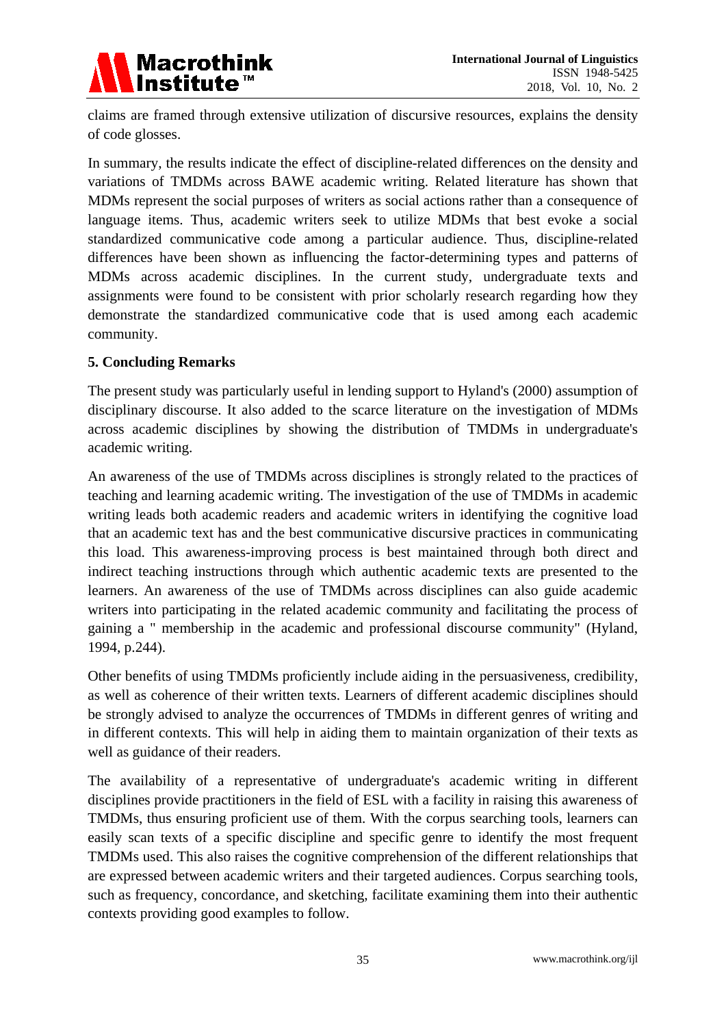

claims are framed through extensive utilization of discursive resources, explains the density of code glosses.

In summary, the results indicate the effect of discipline-related differences on the density and variations of TMDMs across BAWE academic writing. Related literature has shown that MDMs represent the social purposes of writers as social actions rather than a consequence of language items. Thus, academic writers seek to utilize MDMs that best evoke a social standardized communicative code among a particular audience. Thus, discipline-related differences have been shown as influencing the factor-determining types and patterns of MDMs across academic disciplines. In the current study, undergraduate texts and assignments were found to be consistent with prior scholarly research regarding how they demonstrate the standardized communicative code that is used among each academic community.

#### **5. Concluding Remarks**

The present study was particularly useful in lending support to Hyland's (2000) assumption of disciplinary discourse. It also added to the scarce literature on the investigation of MDMs across academic disciplines by showing the distribution of TMDMs in undergraduate's academic writing.

An awareness of the use of TMDMs across disciplines is strongly related to the practices of teaching and learning academic writing. The investigation of the use of TMDMs in academic writing leads both academic readers and academic writers in identifying the cognitive load that an academic text has and the best communicative discursive practices in communicating this load. This awareness-improving process is best maintained through both direct and indirect teaching instructions through which authentic academic texts are presented to the learners. An awareness of the use of TMDMs across disciplines can also guide academic writers into participating in the related academic community and facilitating the process of gaining a " membership in the academic and professional discourse community" (Hyland, 1994, p.244).

Other benefits of using TMDMs proficiently include aiding in the persuasiveness, credibility, as well as coherence of their written texts. Learners of different academic disciplines should be strongly advised to analyze the occurrences of TMDMs in different genres of writing and in different contexts. This will help in aiding them to maintain organization of their texts as well as guidance of their readers.

The availability of a representative of undergraduate's academic writing in different disciplines provide practitioners in the field of ESL with a facility in raising this awareness of TMDMs, thus ensuring proficient use of them. With the corpus searching tools, learners can easily scan texts of a specific discipline and specific genre to identify the most frequent TMDMs used. This also raises the cognitive comprehension of the different relationships that are expressed between academic writers and their targeted audiences. Corpus searching tools, such as frequency, concordance, and sketching, facilitate examining them into their authentic contexts providing good examples to follow.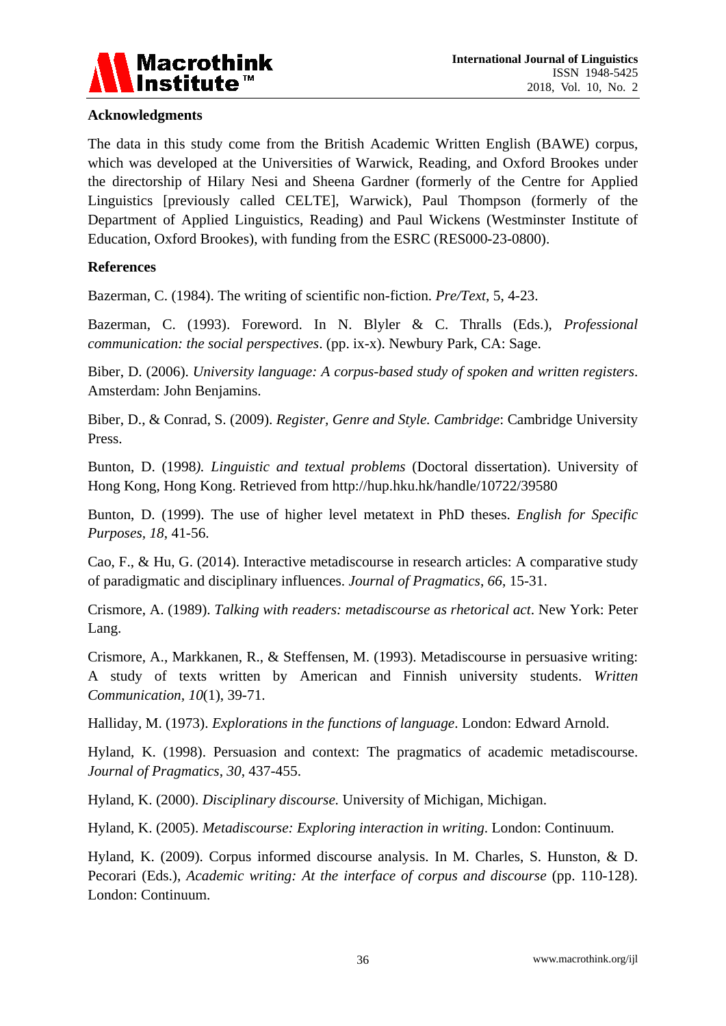

# **Acknowledgments**

The data in this study come from the British Academic Written English (BAWE) corpus, which was developed at the Universities of Warwick, Reading, and Oxford Brookes under the directorship of Hilary Nesi and Sheena Gardner (formerly of the Centre for Applied Linguistics [previously called CELTE], Warwick), Paul Thompson (formerly of the Department of Applied Linguistics, Reading) and Paul Wickens (Westminster Institute of Education, Oxford Brookes), with funding from the ESRC (RES000-23-0800).

#### **References**

Bazerman, C. (1984). The writing of scientific non-fiction. *Pre/Text*, 5, 4-23.

Bazerman, C. (1993). Foreword. In N. Blyler & C. Thralls (Eds.), *Professional communication: the social perspectives*. (pp. ix-x). Newbury Park, CA: Sage.

Biber, D. (2006). *University language: A corpus-based study of spoken and written registers*. Amsterdam: John Benjamins.

Biber, D., & Conrad, S. (2009). *Register, Genre and Style. Cambridge*: Cambridge University Press.

Bunton, D. (1998*). Linguistic and textual problems* (Doctoral dissertation). University of Hong Kong, Hong Kong. Retrieved from http://hup.hku.hk/handle/10722/39580

Bunton, D. (1999). The use of higher level metatext in PhD theses. *English for Specific Purposes, 18*, 41-56.

Cao, F., & Hu, G. (2014). Interactive metadiscourse in research articles: A comparative study of paradigmatic and disciplinary influences. *Journal of Pragmatics*, *66*, 15-31.

Crismore, A. (1989). *Talking with readers: metadiscourse as rhetorical act*. New York: Peter Lang.

Crismore, A., Markkanen, R., & Steffensen, M. (1993). Metadiscourse in persuasive writing: A study of texts written by American and Finnish university students. *Written Communication, 10*(1), 39-71.

Halliday, M. (1973). *Explorations in the functions of language*. London: Edward Arnold.

Hyland, K. (1998). Persuasion and context: The pragmatics of academic metadiscourse. *Journal of Pragmatics*, *30*, 437-455.

Hyland, K. (2000). *Disciplinary discourse.* University of Michigan, Michigan.

Hyland, K. (2005). *Metadiscourse: Exploring interaction in writing*. London: Continuum.

Hyland, K. (2009). Corpus informed discourse analysis. In M. Charles, S. Hunston, & D. Pecorari (Eds.), *Academic writing: At the interface of corpus and discourse* (pp. 110-128). London: Continuum.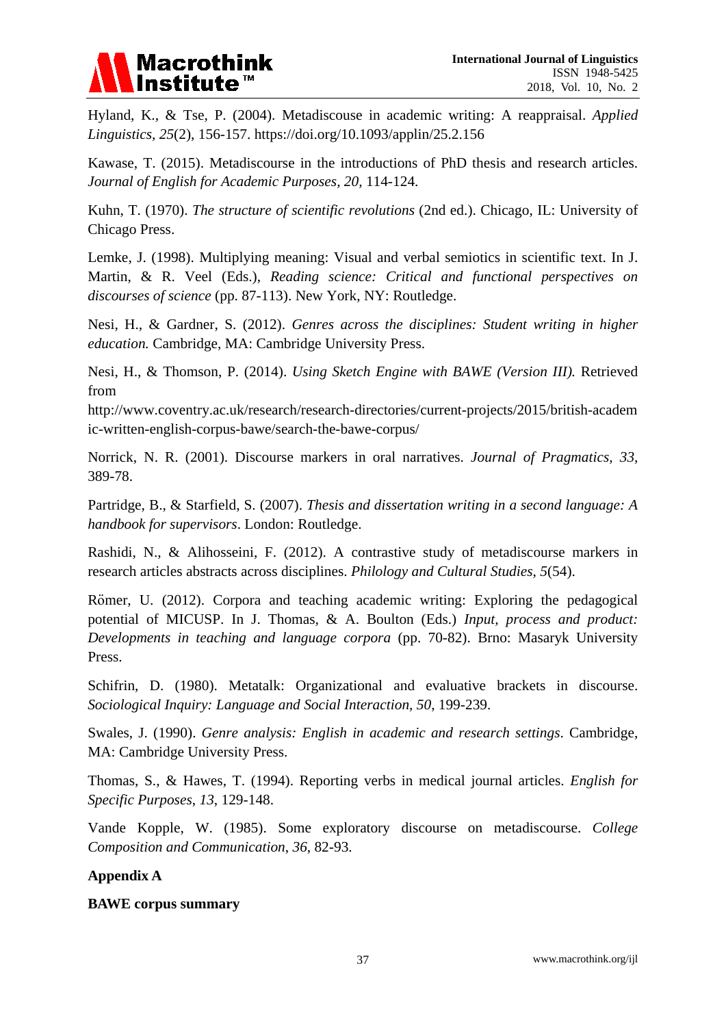

Hyland, K., & Tse, P. (2004). Metadiscouse in academic writing: A reappraisal. *Applied Linguistics, 25*(2), 156-157. https://doi.org/10.1093/applin/25.2.156

Kawase, T. (2015). Metadiscourse in the introductions of PhD thesis and research articles. *Journal of English for Academic Purposes, 20,* 114-124.

Kuhn, T. (1970). *The structure of scientific revolutions* (2nd ed.). Chicago, IL: University of Chicago Press.

Lemke, J. (1998). Multiplying meaning: Visual and verbal semiotics in scientific text. In J. Martin, & R. Veel (Eds.), *Reading science: Critical and functional perspectives on discourses of science* (pp. 87-113). New York, NY: Routledge.

Nesi, H., & Gardner, S. (2012). *Genres across the disciplines: Student writing in higher education.* Cambridge, MA: Cambridge University Press.

Nesi, H., & Thomson, P. (2014). *Using Sketch Engine with BAWE (Version III).* Retrieved from

http://www.coventry.ac.uk/research/research-directories/current-projects/2015/british-academ ic-written-english-corpus-bawe/search-the-bawe-corpus/

Norrick, N. R. (2001). Discourse markers in oral narratives. *Journal of Pragmatics, 33,*  389-78.

Partridge, B., & Starfield, S. (2007). *Thesis and dissertation writing in a second language: A handbook for supervisors*. London: Routledge.

Rashidi, N., & Alihosseini, F. (2012). A contrastive study of metadiscourse markers in research articles abstracts across disciplines. *Philology and Cultural Studies*, *5*(54).

Römer, U. (2012). Corpora and teaching academic writing: Exploring the pedagogical potential of MICUSP. In J. Thomas, & A. Boulton (Eds.) *Input, process and product: Developments in teaching and language corpora* (pp. 70-82). Brno: Masaryk University Press.

Schifrin, D. (1980). Metatalk: Organizational and evaluative brackets in discourse. *Sociological Inquiry: Language and Social Interaction, 50*, 199-239.

Swales, J. (1990). *Genre analysis: English in academic and research settings*. Cambridge, MA: Cambridge University Press.

Thomas, S., & Hawes, T. (1994). Reporting verbs in medical journal articles. *English for Specific Purposes*, *13*, 129-148.

Vande Kopple, W. (1985). Some exploratory discourse on metadiscourse. *College Composition and Communication*, *36*, 82-93.

# **Appendix A**

#### **BAWE corpus summary**